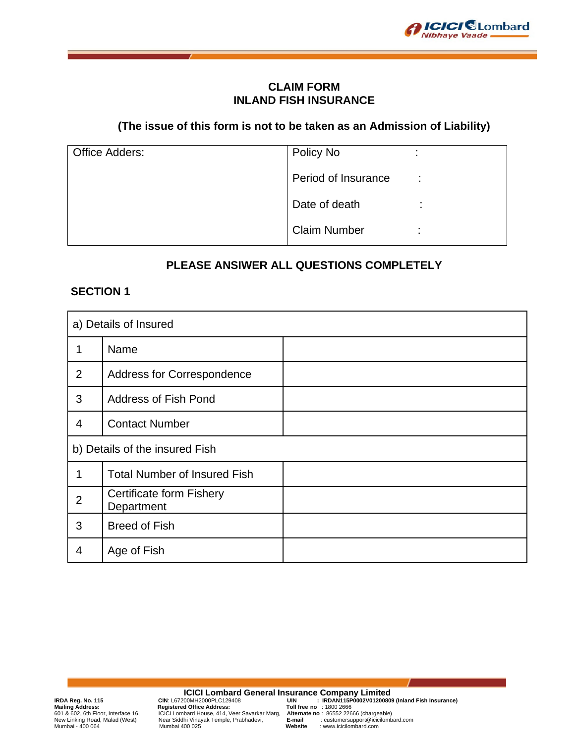

## **CLAIM FORM INLAND FISH INSURANCE**

## **(The issue of this form is not to be taken as an Admission of Liability)**

| <b>Office Adders:</b> | Policy No           |                     |
|-----------------------|---------------------|---------------------|
|                       | Period of Insurance | ٠<br>$\blacksquare$ |
|                       | Date of death       |                     |
|                       | <b>Claim Number</b> | ٠<br>$\blacksquare$ |

## **PLEASE ANSIWER ALL QUESTIONS COMPLETELY**

## **SECTION 1**

| a) Details of Insured          |                                        |  |  |
|--------------------------------|----------------------------------------|--|--|
|                                | Name                                   |  |  |
| 2                              | Address for Correspondence             |  |  |
| 3                              | <b>Address of Fish Pond</b>            |  |  |
| $\overline{4}$                 | <b>Contact Number</b>                  |  |  |
| b) Details of the insured Fish |                                        |  |  |
| 1                              | <b>Total Number of Insured Fish</b>    |  |  |
| $\overline{2}$                 | Certificate form Fishery<br>Department |  |  |
| 3                              | <b>Breed of Fish</b>                   |  |  |
| 4                              | Age of Fish                            |  |  |

**ICICI Lombard General Insurance Company Limited** IRDA Reg. No. 115<br>Mailing Address: No. 115 CIN: L67200MH2000PLC129408 UIN: IRDAN115P0002V01200809 (Inland Fish Insurance)<br>Mailing Address: Cincl Lombard House, 414, Veer Savarkar Marg, Alternate no : 1805 2666<br>New Linking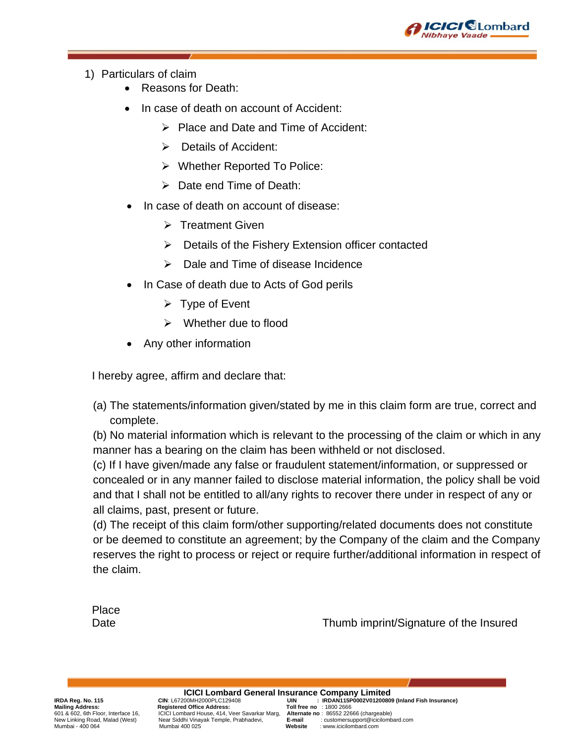

- 1) Particulars of claim
	- Reasons for Death:
	- In case of death on account of Accident:
		- ➢ Place and Date and Time of Accident:
		- ➢ Details of Accident:
		- ➢ Whether Reported To Police:
		- ➢ Date end Time of Death:
	- In case of death on account of disease:
		- ➢ Treatment Given
		- ➢ Details of the Fishery Extension officer contacted
		- $\triangleright$  Dale and Time of disease Incidence
	- In Case of death due to Acts of God perils
		- $\triangleright$  Type of Event
		- ➢ Whether due to flood
	- Any other information

I hereby agree, affirm and declare that:

(a) The statements/information given/stated by me in this claim form are true, correct and complete.

(b) No material information which is relevant to the processing of the claim or which in any manner has a bearing on the claim has been withheld or not disclosed.

(c) If I have given/made any false or fraudulent statement/information, or suppressed or concealed or in any manner failed to disclose material information, the policy shall be void and that I shall not be entitled to all/any rights to recover there under in respect of any or all claims, past, present or future.

(d) The receipt of this claim form/other supporting/related documents does not constitute or be deemed to constitute an agreement; by the Company of the claim and the Company reserves the right to process or reject or require further/additional information in respect of the claim.

Place

Date **Date** Thumb imprint/Signature of the Insured

**ICICI Lombard General Insurance Company Limited**<br>IRDAN115P0002V0120080 : UN : IRDAN115P0002V0120080 **Mailing Address: Registered Office Address: Toll free no** : 1800 2666 601 & 602, 6th Floor, Interface 16, ICICI Lombard House, 414, Veer Savarkar Marg, **Alternate no** : 86552 22666 (chargeable) Mumbai - 400 064 Mumbai 400 025 **Website** : www.icicilombard.com

**IRDA Reg. No. 115 CIN**: L67200MH2000PLC129408<br> **Mailing Address:** Registered Office Address: Toll free no : 1800 2666<br>
601 & 602, 6th Floor, Interface 16, CICI Lombard House, 414, Veer Savarkar Marg, Alternate no : 86552 New Linking Road, Malad (West) Near Siddhi Vinayak Temple, Prabhadevi, **E-mail** : customersupport@icicilombard.com